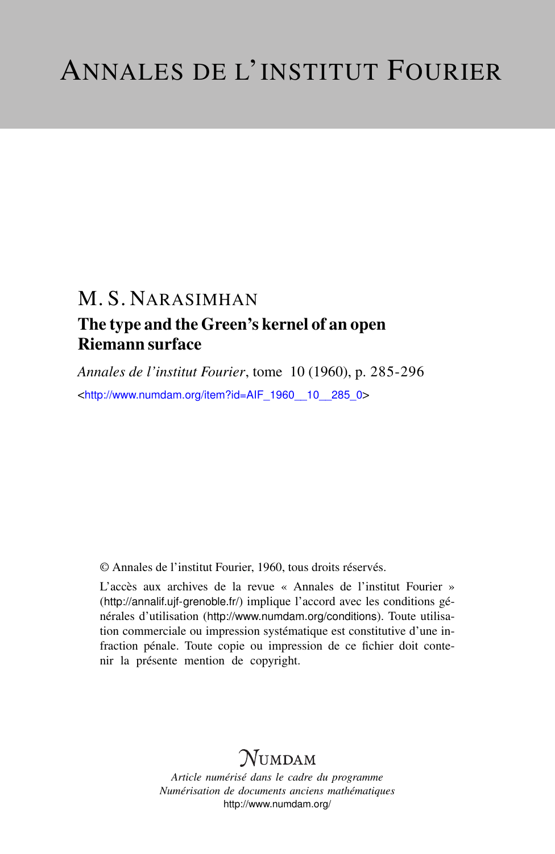## M. S. NARASIMHAN The type and the Green's kernel of an open Riemann surface

*Annales de l'institut Fourier*, tome 10 (1960), p. 285-296 <[http://www.numdam.org/item?id=AIF\\_1960\\_\\_10\\_\\_285\\_0](http://www.numdam.org/item?id=AIF_1960__10__285_0)>

© Annales de l'institut Fourier, 1960, tous droits réservés.

L'accès aux archives de la revue « Annales de l'institut Fourier » (<http://annalif.ujf-grenoble.fr/>) implique l'accord avec les conditions générales d'utilisation (<http://www.numdam.org/conditions>). Toute utilisation commerciale ou impression systématique est constitutive d'une infraction pénale. Toute copie ou impression de ce fichier doit contenir la présente mention de copyright.

# NUMDAM

*Article numérisé dans le cadre du programme Numérisation de documents anciens mathématiques* <http://www.numdam.org/>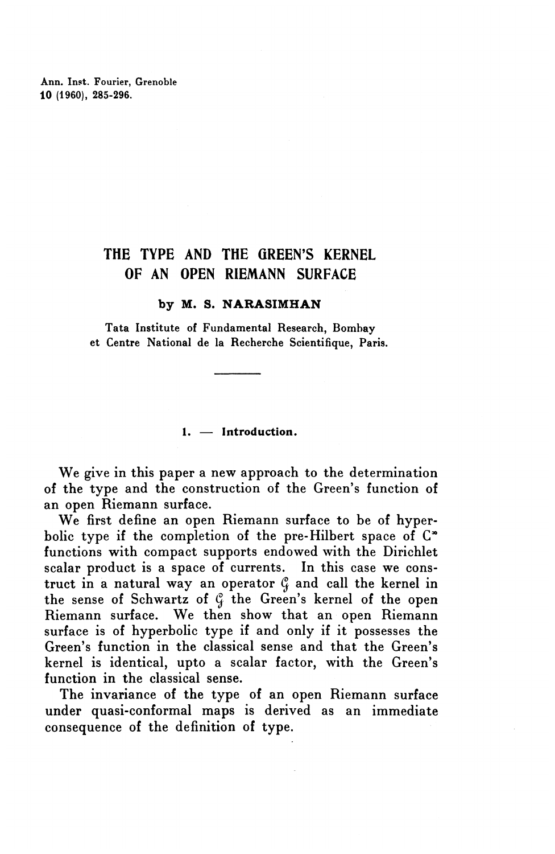Ann. Inst. Fourier, Grenoble **10** (1960), 285-296.

### THE TYPE AND THE GREEN'S KERNEL OF AN OPEN RIEMANN SURFACE

#### **by M. S. NARASIMHAN**

Tata Institute of Fundamental Research, Bombay et Centre National de la Recherche Scientifique, Paris.

**1. — Introduction.**

We give in this paper a new approach to the determination of the type and the construction of the Green's function of an open Riemann surface.

We first define an open Riemann surface to be of hyperbolic type if the completion of the pre-Hilbert space of  $\mathbb{C}^*$ functions with compact supports endowed with the Dirichlet scalar product is a space of currents. In this case we construct in a natural way an operator  $\mathcal{C}_i$  and call the kernel in the sense of Schwartz of  $\mathcal{G}$  the Green's kernel of the open Riemann surface. We then show that an open Riemann surface is of hyperbolic type if and only if it possesses the Green's function in the classical sense and that the Green's kernel is identical, upto a scalar factor, with the Green's function in the classical sense.

The invariance of the type of an open Riemann surface under quasi-conformal maps is derived as an immediate consequence of the definition of type.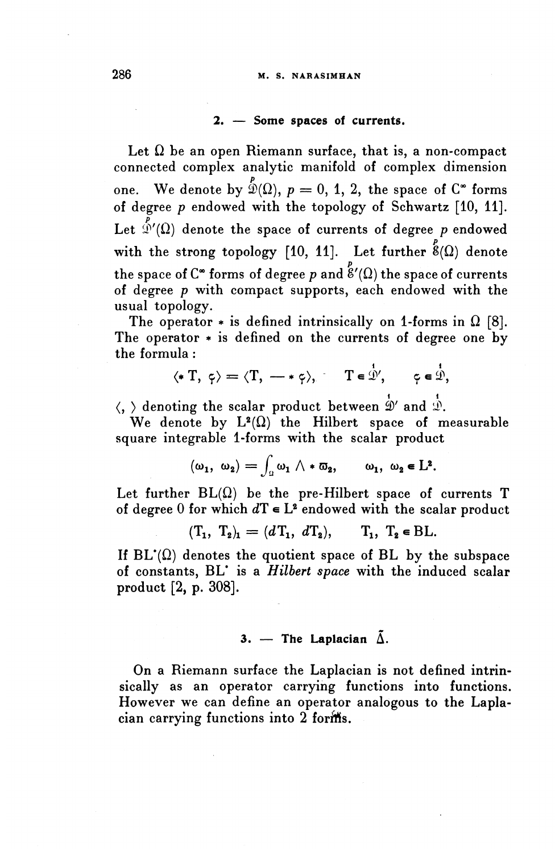#### **2. — Some spaces of currents.**

Let  $\Omega$  be an open Riemann surface, that is, a non-compact connected complex analytic manifold of complex dimension one. We denote by  $\stackrel{p}{\mathfrak{D}}(\Omega),\ p=0,\ 1,\ 2,$  the space of  $\mathsf{C}^*$  forms of degree *p* endowed with the topology of Schwartz [10, 11]. Let  $\tilde{\mathbb{P}}'(\Omega)$  denote the space of currents of degree *p* endowed with the strong topology [10, 11]. Let further  $\overset{p}{8}(\Omega)$  denote the space of C<sup>\*</sup> forms of degree p and  $\overset{P}{\mathcal{E}}'(\Omega)$  the space of currents of degree *p* with compact supports, each endowed with the usual topology.

The operator  $*$  is defined intrinsically on 1-forms in  $\Omega$  [8]. The operator  $*$  is defined on the currents of degree one by the formula :

$$
\langle * \, T, \, \varphi \rangle = \langle T, \, - \ast \, \varphi \rangle, \qquad T \in \mathcal{D}', \qquad \varphi \in \mathcal{D},
$$

 $\langle, \rangle$  denoting the scalar product between  $\stackrel{i}{\Phi'}$  and  $\stackrel{i}{\Phi}$ .

We denote by  $L^2(\Omega)$  the Hilbert space of measurable square integrable 1-forms with the scalar product

$$
(\omega_1, \ \omega_2) = \int_{\Omega} \omega_1 \wedge * \overline{\omega}_2, \qquad \omega_1, \ \omega_2 \in L^2.
$$

Let further  $BL(\Omega)$  be the pre-Hilbert space of currents T of degree 0 for which  $d\mathbf{T} \in \mathbf{L}^2$  endowed with the scalar product

$$
(\mathbf{T}_1, \mathbf{T}_2)_{\mathbf{1}} = (d\mathbf{T}_1, d\mathbf{T}_2), \qquad \mathbf{T}_1, \mathbf{T}_2 \in \mathbf{BL}.
$$

If  $BL'(\Omega)$  denotes the quotient space of BL by the subspace of constants, BL\* is a *Hilbert space* with the induced scalar product [2, p. 308].

#### 3. — The Laplacian  $\tilde{\Delta}$ .

On a Riemann surface the Laplacian is not defined intrinsically as an operator carrying functions into functions. However we can define an operator analogous to the Laplacian carrying functions into 2 forms.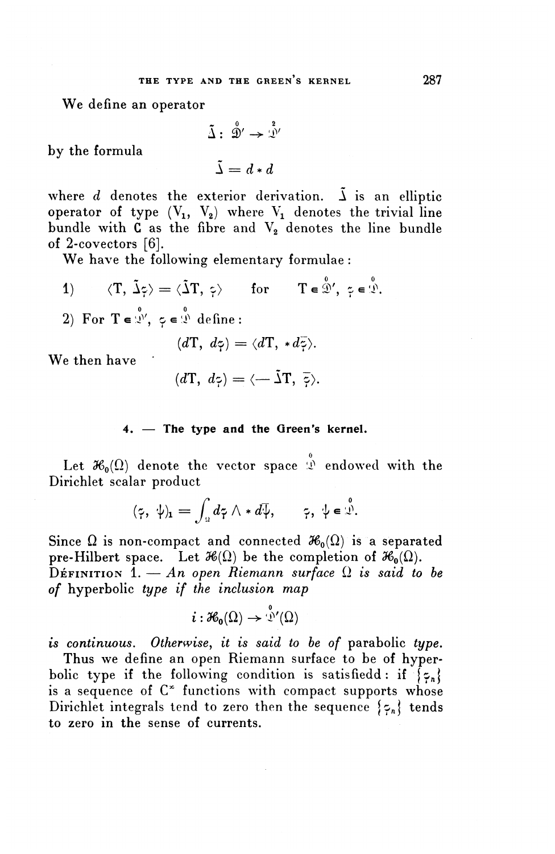**We** define an operator

$$
\tilde{\Delta}: \stackrel{\circ}{\mathcal{D}}' \to \stackrel{\circ}{\mathcal{L}}'
$$

$$
\tilde{\Delta} = d * d
$$

by the formula

$$
\Delta = d * d
$$

where  $d$  denotes the exterior derivation.  $\tilde{\lambda}$  is an elliptic by the formula<br>  $\tilde{\Delta} : \hat{\mathcal{D}}' \to \hat{\mathcal{D}}'$ <br>
where *d* denotes the exterior derivation.  $\tilde{\Delta}$  is an elliptic<br>
operator of type  $(V_1, V_2)$  where  $V_1$  denotes the trivial line<br>
bundle with **C** as the fibre and  $V_2$  d bundle with  $C$  as the fibre and  $V_2$  denotes the line bundle of 2-covectors [6].

**We** have the following elementary formulae :

- 1)  $\langle T, \tilde{\Delta} \phi \rangle = \langle \tilde{\Delta} T, \phi \rangle$  for  $T \in \mathcal{D}'$ ,  $\phi \in \mathcal{D}$ .
- 2) For  $T \in \mathcal{D}'$ ,  $z \in \mathcal{D}$  define:

$$
(d\mathbf{T}, d\mathbf{\zeta}) = \langle d\mathbf{T}, *d\mathbf{\zeta} \rangle.
$$

We then have

$$
(d\mathbf{T}, d\mathbf{z}) = \langle -\mathbf{\tilde{\Delta}T}, \mathbf{\tilde{z}} \rangle.
$$

#### **4. — The type and the Green's kernel.**

Let  $\mathcal{H}_0(\Omega)$  denote the vector space  $\stackrel{\circ}{\mathcal{L}}$  endowed with the Dirichlet scalar product

$$
(\tilde{\gamma},\;\psi)_1=\int_{\mathbb{R}}d\tilde{\gamma}\wedge *\,d\overline{\psi},\qquad \tilde{\gamma},\;\psi\in\overset{\circ}{\mathcal{X}}.
$$

Since  $\Omega$  is non-compact and connected  $\mathcal{H}_0(\Omega)$  is a separated pre-Hilbert space. Let  $\mathcal{H}(\Omega)$  be the completion of  $\mathcal{H}_0(\Omega)$ . DEFINITION  $1 - An$  open Riemann surface  $\Omega$  is said to be *of* hyperbolic *type if the inclusion map*

$$
i:\mathcal{H}_0(\Omega)\to\mathcal{D}'(\Omega)
$$

*is continuous. Otherwise, it is said to be of* parabolic *type.*

Thus we define an open Riemann surface to be of hyperbolic type if the following condition is satisfiedd: if  $\{z_n\}$ is a sequence of  $C^*$  functions with compact supports whose Dirichlet integrals tend to zero then the sequence  $\{z_n\}$  tends to zero in the sense of currents.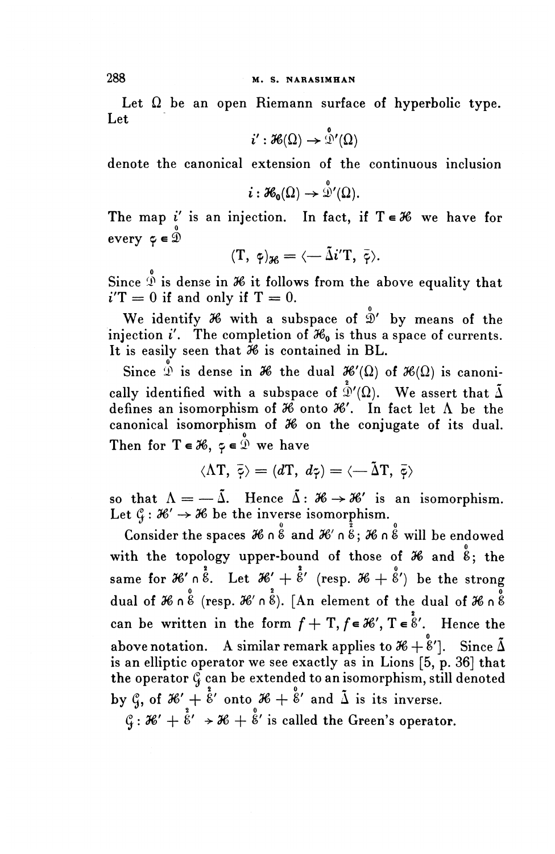Let  $\Omega$  be an open Riemann surface of hyperbolic type. Let

$$
i':\mathcal{H}(\Omega)\to\overset{\mathtt{o}}{\mathfrak{D}}'(\Omega)
$$

denote the canonical extension of the continuous inclusion

$$
i:\mathcal{H}_0(\Omega)\to \mathcal{D}'(\Omega).
$$

The map i' is an injection. In fact, if  $T \in \mathcal{H}$  we have for 0 every  $\phi \in \mathcal{D}$ 

$$
(\mathrm{T}, \ \phi)_{\mathcal{H}} = \langle -\tilde{\Delta}i^{\prime}\mathrm{T}, \ \bar{\phi} \rangle.
$$

Since  $\stackrel{\circ}{\mathfrak{D}}$  is dense in  $\mathcal H$  it follows from the above equality that  $i'T = 0$  if and only if  $T = 0$ .

We identify  $\mathcal H$  with a subspace of  $\mathring{D}'$  by means of the injection i'. The completion of  $\mathcal{H}_0$  is thus a space of currents. It is easily seen that *96* is contained in BL.

Since  $\int_a^b$  is dense in  $\partial b$  the dual  $\partial b'(\Omega)$  of  $\partial b(\Omega)$  is canonically identified with a subspace of  $\mathcal{D}'(\Omega)$ . We assert that  $\tilde{\Delta}$ defines an isomorphism of  $\mathcal{H}$  onto  $\mathcal{H}'$ . In fact let  $\Lambda$  be the canonical isomorphism of *96* on the conjugate of its dual. Then for  $T \in \mathcal{H}$ ,  $\varphi \in \mathcal{D}$  we have

$$
\langle \Lambda T, \overline{\phi} \rangle = \langle dT, d\phi \rangle = \langle -\tilde{\Delta} T, \overline{\phi} \rangle
$$

so that  $\Lambda = -\tilde{\Lambda}$ . Hence  $\tilde{\Lambda}$ :  $\mathcal{H} \rightarrow \mathcal{H}'$  is an isomorphism. Let  $\mathcal{C}_f : \mathcal{H}' \to \mathcal{H}$  be the inverse isomorphism.

Exect  $G: \mathcal{A} \rightarrow \mathcal{A}$  be the inverse isomorphism.<br>Consider the spaces  $\mathcal{A}$  n  $\overset{\circ}{\mathcal{B}}$  and  $\mathcal{A}'$  n  $\overset{\circ}{\mathcal{B}}$ ;  $\mathcal{A}$  n  $\overset{\circ}{\mathcal{B}}$  will be endowed with the topology upper-bound of those of  $\mathcal{H}$  and  $\overset{\circ}{8}$ ; the same for  $\mathcal{H}'$   $\int_{0}^{\overline{6}}$ . Let  $\mathcal{H}' + \overset{2}{6}'$  (resp.  $\mathcal{H} + \overset{2}{6}'$ ) be the strong dual of  $\mathcal{H} \cap \overset{\circ}{\mathcal{E}}$  (resp.  $\mathcal{H}' \cap \overset{\circ}{\mathcal{E}}$ ). [An element of the dual of  $\mathcal{H} \cap \overset{\circ}{\mathcal{E}}$ can be written in the form  $f + T$ ,  $f \in \mathcal{H}'$ ,  $T \in \mathcal{E}'$ . Hence the above notation. A similar remark applies to  $\mathcal{H} + \overset{\circ}{\mathcal{E}}'$ ]. Since  $\tilde{\Delta}$ is an elliptic operator we see exactly as in Lions [5, p. 36] that the operator  $\mathcal{C}$  can be extended to an isomorphism, still denoted by  $\zeta$ , of  $\mathcal{H} + \dot{\tilde{\xi}}'$  onto  $\mathcal{H} + \dot{\tilde{\xi}}'$  and  $\tilde{\Delta}$  is its inverse.

 $\mathcal{C}_4$ :  $\mathcal{H}' + \mathring{b}' \rightarrow \mathcal{H} + \mathring{b}'$  is called the Green's operator.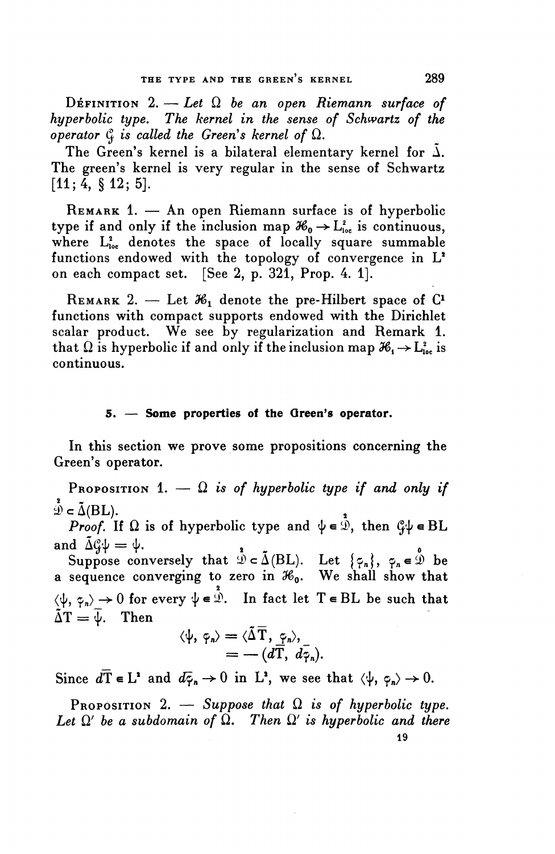DEFINITION  $2. - Let \Omega$  be an open Riemann surface of *hyperbolic type. The kernel in the sense of Schwartz of the operator*  $\mathcal{C}_i$  *is called the Green's kernel of*  $\Omega$ *.* 

The Green's kernel is a bilateral elementary kernel for  $\tilde{\Delta}$ . The green's kernel is very regular in the sense of Schwartz  $[11; 4, \S 12; 5].$ 

REMARK 1. — An open Riemann surface is of hyperbolic type if and only if the inclusion map  $\mathcal{H}_0 \rightarrow L^2_{loc}$  is continuous, where  $L^2_{loc}$  denotes the space of locally square summable functions endowed with the topology of convergence in  $L^2$ on each compact set. [See 2, p. 321, Prop. 4. 1].

REMARK 2. — Let  $\mathcal{H}_1$  denote the pre-Hilbert space of  $C^1$ functions with compact supports endowed with the Dirichlet scalar product. We see by regularization and Remark 1. that  $\Omega$  is hyperbolic if and only if the inclusion map  $\mathcal{H}_1 \rightarrow L^2_{loc}$  is continuous.

#### **5. — Some properties of the Green's operator.**

In this section we prove some propositions concerning the Green's operator.

PROPOSITION 1.  $-\Omega$  is of hyperbolic type if and only if  $\mathcal{D} \subset \tilde{\Delta}(\mathrm{BL})$ .

*Proof.* If  $\Omega$  is of hyperbolic type and  $\psi \in \mathcal{D}$ , then  $\mathcal{C}\psi \in BL$ and  $\tilde{\Delta} \mathcal{C} \psi = \psi$ .

Suppose conversely that  $\mathcal{D} \subset \tilde{\Delta}(\mathrm{BL})$ . Let  $\{\varphi_n\}, \varphi_n \in \tilde{\mathcal{D}}$  be a sequence converging to zero in *S&Q.* We shall show that  $\langle \psi, \varphi_n \rangle \rightarrow 0$  for every  $\psi \in \mathcal{D}$ . In fact let  $T \in BL$  be such that  $\tilde{\Delta}T = \overline{\Psi}$ . Then

$$
\langle \psi, \varphi_n \rangle = \langle \tilde{\Delta} \overline{T}, \varphi_n \rangle, = -(d\overline{T}, d\overline{\varphi}_n).
$$

Since  $d\overline{T} \in L^2$  and  $d\overline{\varphi}_n \to 0$  in  $L^2$ , we see that  $\langle \psi, \varphi_n \rangle \to 0$ .

PROPOSITION 2. — Suppose that  $\Omega$  is of hyperbolic type. Let  $\Omega'$  be a subdomain of  $\Omega$ . Then  $\Omega'$  is hyperbolic and there 19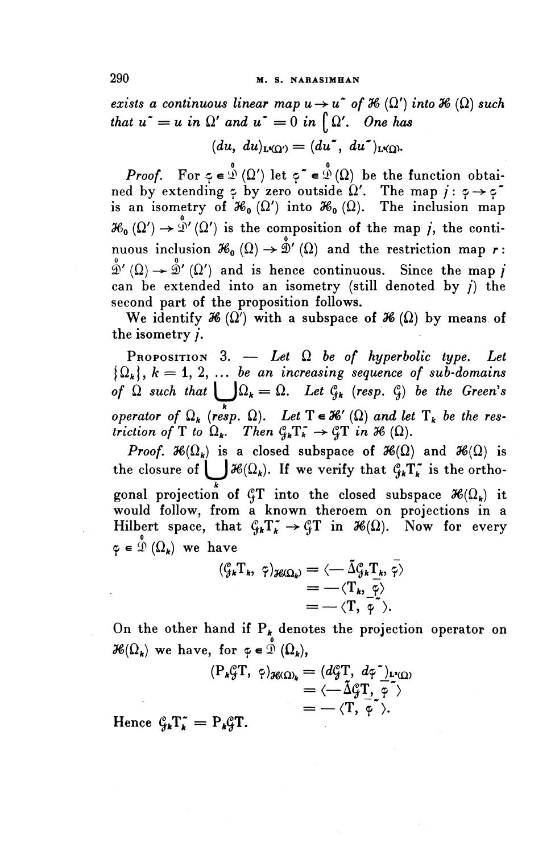*exists a continuous linear map*  $u \rightarrow u^*$  *of*  $\mathcal{H}(\Omega')$  *into*  $\mathcal{H}(\Omega)$  *such that*  $u^* = u$  *in*  $\Omega'$  *and*  $u^* = 0$  *in*  $\int \Omega'$ *. One has* 

$$
(du, du)_{L^{2}(\Omega')} = (du^{\sim}, du^{\sim})_{L^{2}(\Omega)}.
$$

*Proof.* For  $\varphi \in \mathcal{D}$  ( $\Omega'$ ) let  $\varphi^* \in \mathcal{D}$  ( $\Omega$ ) be the function obtained by extending  $\varphi$  by zero outside  $\Omega'$ . The map  $i: \varphi \rightarrow \varphi$ is an isometry of  $\mathcal{H}_0(\Omega')$  into  $\mathcal{H}_0(\Omega)$ . The inclusion map  $\mathcal{H}_0(\Omega') \to \mathcal{D}'(\Omega')$  is the composition of the map *j*, the continuous inclusion  $\mathcal{H}_0(\Omega) \to \mathring{\mathcal{D}}'(\Omega)$  and the restriction map r:  $\mathring{2}$ ' ( $\Omega$ )  $\rightarrow$   $\mathring{2}$ ' ( $\Omega'$ ) and is hence continuous. Since the map *j* can be extended into an isometry (still denoted by  $j$ ) the second part of the proposition follows.

We identify  $\mathcal{H}(\Omega')$  with a subspace of  $\mathcal{H}(\Omega)$  by means of the isometry /.

PROPOSITION 3. — *Let* Q *be of hyperbolic type. Let*  $\{\Omega_k\}, k = 1, 2, \ldots$  be an increasing sequence of sub-domains *of*  $\Omega$  such that  $\bigcup \Omega_k = \Omega$ . Let  $\mathcal{C}_{jk}$  (resp.  $\mathcal{C}_j$ ) be the Green's *operator of*  $\Omega_k$  (resp.  $\Omega$ ). Let  $T \in \mathcal{K}'(\Omega)$  and let  $T_k$  be the res*triction of* T *to*  $\Omega_k$ . Then  $\mathcal{C}_k \mathcal{T}_k^* \to \mathcal{G} \mathcal{T}$  in 36 ( $\Omega$ ).

*Proof.*  $\mathcal{H}(\Omega_k)$  is a closed subspace of  $\mathcal{H}(\Omega)$  and  $\mathcal{H}(\Omega)$  is the closure of  $\int \mathcal{H}(\Omega_k)$ . If we verify that  $\mathcal{G}_k \Gamma_k^*$  is the orthogonal projection of  $\mathcal{C}_t$  into the closed subspace  $\mathcal{H}(\Omega_k)$  if would follow, from a known theroem on projections in a Hilbert space, that  $\mathcal{G}_k T_k^* \to \mathcal{G} T$  in  $\mathcal{H}(\Omega)$ . Now for every  $\varphi \in \mathcal{D}(\Omega_k)$  we have

$$
\begin{aligned}\n(\zeta_k T_k, \; \hat{\gamma})_{\mathcal{H}(\Omega_k)} &= \langle -\tilde{\Delta} \zeta_k T_k, \, \bar{\gamma} \rangle \\
&= -\langle T_k, \, \bar{\varphi} \rangle \\
&= -\langle T, \, \bar{\varphi} \rangle.\n\end{aligned}
$$

On the other hand if  $P^{\prime}$  denotes the projection operator on  $\mathcal{H}(\Omega_k)$  we have, for  $\varphi \in \mathcal{D}(\Omega_k)$ ,

$$
(P_k \mathcal{G}T, \varphi)_{\mathcal{H}(\Omega)} = (d\mathcal{G}T, d\varphi)_{L^2(\Omega)} = \langle -\tilde{\Delta}\mathcal{G}T, \varphi \rangle = -\langle T, \varphi \rangle.
$$
  
Proof.

Hence  $\mathcal{G}_k T_k = P_k \mathcal{G} T$ .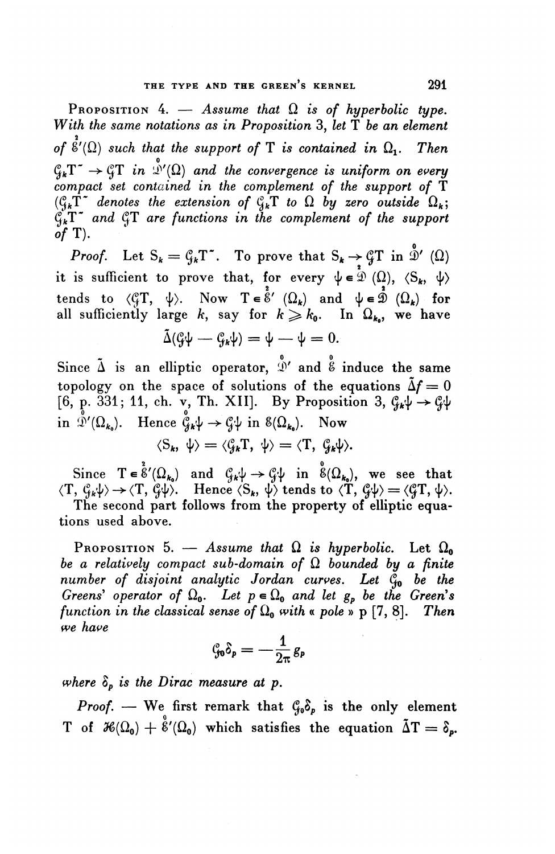PROPOSITION 4.  $-$  Assume that  $\Omega$  is of hyperbolic type. *With the same notations as in Proposition* 3, *let* T *be an element* of  $\overset{\circ}{\mathfrak{e}}'(\Omega)$  such that the support of T is contained in  $\Omega_1$ . Then  $C_{k}T^{*} \to C_{k}T$  in  $\mathcal{D}'(\Omega)$  and the convergence is uniform on every *compact set contained in the complement of the support of* T  $(\mathcal{C}_k \mathring{T}^{\star}$  denotes the extension of  $\mathcal{C}_k \mathring{T}$  to  $\Omega$  by zero outside  $\Omega_k$ ;  $\mathcal{C}_{k}^{\mathbf{X}^{\mathbf{X}}}$  and  $\mathcal{C}_{k}^{\mathbf{X}}$  are functions in the complement of the support *of* T).

*Proof.* Let  $S_k = G_k T^*$ . To prove that  $S_k \to {^c\!}T$  in  $\stackrel{\delta}{\mathcal{D}}'$  ( $\Omega$ ) it is sufficient to prove that, for every  $\psi \in \mathcal{D}(\Omega)$ ,  $\langle S_k, \psi \rangle$ tends to  $\langle \mathcal{C}_i T, \psi \rangle$ . Now  $T \in \hat{\mathcal{E}}'$   $(\Omega_k)$  and  $\psi \in \hat{\mathcal{D}}$   $(\Omega_k)$  for tends to  $\langle \psi_1, \psi \rangle$ . Now  $I \in \mathcal{E}$   $(\Omega_k)$  and  $\psi \in \mathcal{D}$   $(\Omega_k)$  for<br>all sufficiently large k, say for  $k \ge k_0$ . In  $\Omega_{k_0}$ , we have<br> $\tilde{\Delta}(\mathcal{G}\psi - \mathcal{G}_k\psi) = \psi - \psi = 0$ .

$$
\tilde{\Delta}(\mathcal{G}\psi - \mathcal{G}_{k}\psi) = \psi - \psi = 0.
$$

Since  $\tilde{\Delta}$  is an elliptic operator,  $\mathring{N}$  and  $\mathring{\mathscr{E}}$  induce the same topology on the space of solutions of the equations  $\tilde{\Delta}f = 0$ Since  $\Delta$  is an emptic operator,  $\mathcal{D}$  and  $\mathcal{E}$  induce the same<br>topology on the space of solutions of the equations  $\tilde{\Delta}f = 0$ <br>[6, p. 331; 11, ch. v, Th. XII]. By Proposition 3,  $\mathcal{G}_k \psi \to \mathcal{G} \psi$ **is posted of solutions of the example of**  $[6, p. 331; 11, ch. v, Th. XII]$ . By Propositi<br>in  $\mathcal{D}'(\Omega_{k_0})$ . Hence  $\mathcal{C}_{k} \psi \to \mathcal{C} \psi$  in  $\mathcal{E}(\Omega_{k_0})$ . Now

$$
\langle S_k, \psi \rangle = \langle \mathcal{C}_{jk} T, \psi \rangle = \langle T, \mathcal{C}_{jk} \psi \rangle.
$$

 $\langle S_k, \psi \rangle = \langle \mathcal{G}_k \mathcal{T}, \psi \rangle = \langle \mathcal{T}, \mathcal{G}_k \psi \rangle.$ <br>Since  $\mathcal{T} \in \mathring{\mathcal{E}}'(\Omega_{k_0})$  and  $\mathcal{G}_k \psi \to \mathcal{G} \psi$  in  $\mathring{\mathcal{E}}(\Omega_{k_0})$ , we see that Since  $T \in \mathscr{E}'(\Omega_{k_0})$  and  $\mathscr{G}_k \psi \to \mathscr{G} \psi$  in  $\mathscr{E}(\Omega_{k_0})$ , we see that<br> $\langle T, \mathscr{G}_k \psi \rangle \to \langle T, \mathscr{G} \psi \rangle$ . Hence  $\langle S_k, \psi \rangle$  tends to  $\langle T, \mathscr{G} \psi \rangle = \langle \mathscr{G} T, \psi \rangle$  $\langle T, \mathcal{G}_k \psi \rangle \rightarrow \langle T, \mathcal{G} \psi \rangle$ . Hence  $\langle S_k, \psi \rangle$  tends to  $\langle T, \mathcal{G} \psi \rangle = \langle \mathcal{G} T, \psi \rangle$ .<br>The second part follows from the property of elliptic equa-

tions used above.

PROPOSITION 5. — Assume that  $\Omega$  is hyperbolic. Let  $\Omega_0$ *be a relatively compact sub-domain of* Q *bounded by a finite number of disjoint analytic Jordan curves. Let* Qo *be the Greens' operator of*  $\Omega_0$ . Let  $p \in \Omega_0$  and let  $g_p$  be the Green's *function in the classical sense of*  $\Omega_0$  with « *pole* » p [7, 8]. *Then we have*

$$
\mathcal{C}_{\!\!p} \delta_{\mathbf{p}} = -\frac{1}{2\pi} g_{\mathbf{p}}
$$

*where*  $\delta_p$  *is the Dirac measure at p.* 

*Proof.* — We first remark that  $\mathcal{C}_{\theta} \delta_p$  is the only element T of  $\mathcal{H}(\Omega_0) + \overset{\circ}{\mathcal{E}}'(\Omega_0)$  which satisfies the equation  $\tilde{\Delta}T = \delta_p$ .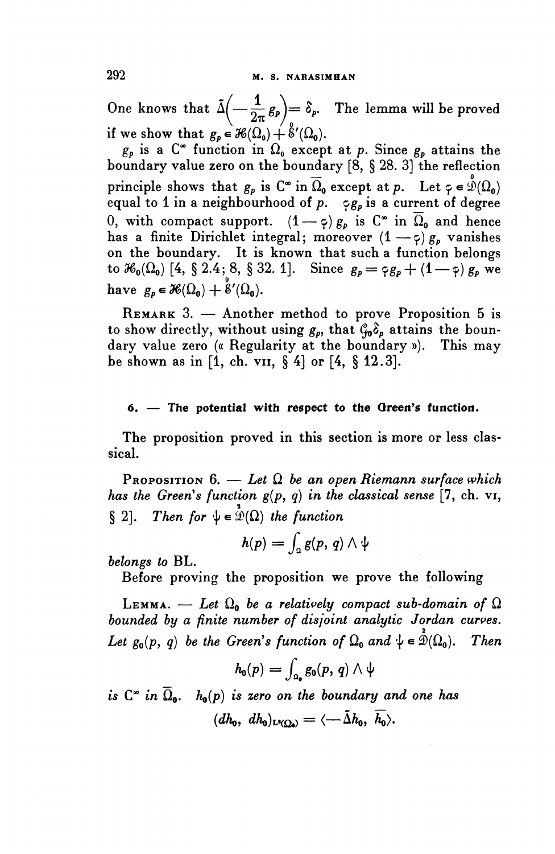One knows that  $\tilde{\Delta} \left( -\frac{1}{2\pi} g_p \right) = \delta_p$ . The lemma will be proved if we show that  $g_p \in \mathcal{H}(\Omega_0) + \mathcal{E}'(\Omega_0)$ .

 $g_p$  is a  $C^{\infty}$  function in  $\Omega_0$  except at p. Since  $g_p$  attains the boundary value zero on the boundary [8, § 28. 3] the reflection principle shows that  $g_p$  is  $C^{\infty}$  in  $\overline{\Omega}_0$  except at p. Let  $\varphi \in \mathcal{D}(\Omega_0)$ equal to 1 in a neighbourhood of  $p$ .  $\varphi_{g_p}$  is a current of degree 0, with compact support.  $(1-\varphi)g_p$  is  $C^*$  in  $\overline{\Omega}_0$  and hence has a finite Dirichlet integral; moreover  $(1 - \zeta)g_p$  vanishes on the boundary. It is known that such a function belongs to  $\mathcal{H}_0(\Omega_0)$  [4, § 2.4; 8, § 32. 1]. Since  $g_p = \varphi g_p + (1-\varphi) g_p$  we have  $g_p \in \mathcal{H}(\Omega_0)+\overset{\circ}{\mathcal{E}}'(\Omega_0).$ 

REMARK 3. — Another method to prove Proposition 5 is to show directly, without using  $g_p$ , that  $\mathcal{C}_{p}$  attains the boundary value zero (« Regularity at the boundary »). This may be shown as in [1, ch. v11, § 4] or [4, § 12.3].

#### **6. — The potential with respect to the Oreen^s function.**

The proposition proved in this section is more or less classical.

PROPOSITION  $6. -$  Let  $\Omega$  be an open Riemann surface which *has the Green's function*  $g(p, q)$  *in the classical sense* [7, ch. vi, § 2]. Then for  $\psi \in \mathcal{D}(\Omega)$  the function

$$
h(p)=\int_{\Omega}g(p, q)\wedge\psi
$$

*belongs to* BL.

Before proving the proposition we prove the following

LEMMA. — Let  $\Omega_0$  be a relatively compact sub-domain of  $\Omega$ *bounded by a finite number of disjoint analytic Jordan curves. Let*  $g_0(p, q)$  *be the Green's function of*  $\Omega_0$  *and*  $\psi \in \mathcal{D}(\Omega_0)$ . *Then* 

$$
h_0(p) = \int_{\Omega_0} g_0(p, q) \wedge \psi
$$

*is*  $C^*$  *in*  $\Omega_0$ *.*  $h_0(p)$  *is zero on the boundary and one has*  $(dh_0, dh_0)_{L^2(\Omega_0)} = \langle -\tilde{\Delta}h_0, h_0 \rangle.$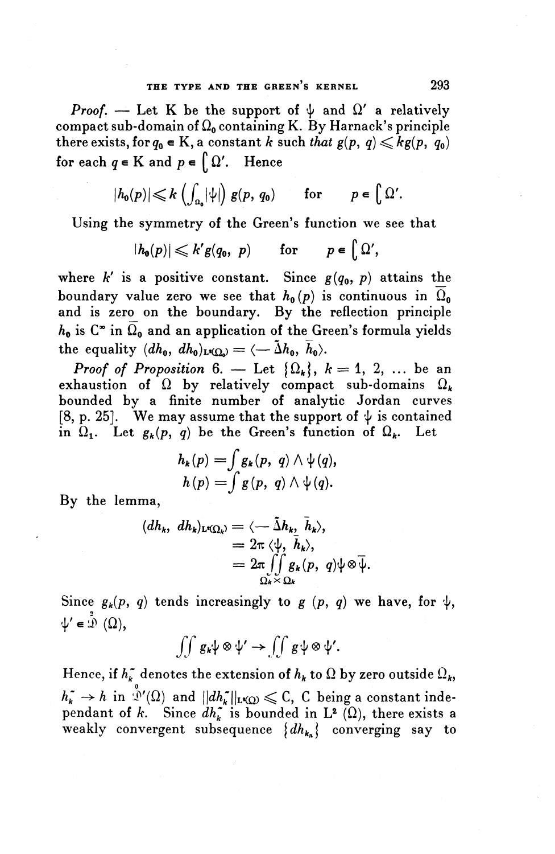*Proof.* — Let K be the support of  $\psi$  and  $\Omega'$  a relatively compact sub-domain of  $\Omega_0$  containing K. By Harnack's principle compact sub-domain of  $\Omega_0$  containing K. By Harnack's principle<br>there exists, for  $q_0 \in K$ , a constant *k* such *that*  $g(p, q) \leqslant kg(p, q_0)$ <br>for each  $q \in K$  and  $p \in \int \Omega'$ . Hence • l  $p \in K$  and  $p \in \left\{ \right\}$ 

$$
|h_0(p)| \leqslant k \left( \int_{\Omega_0} |\psi| \right) g(p, q_0) \quad \text{for} \quad p \in \big[ \Omega'.
$$

Using the symmetry of the Green's function we see that

$$
|h_0(p)| \leqslant k'g(q_0, p) \quad \text{for} \quad p \in \left[ \Omega',\right]
$$

where  $k'$  is a positive constant. Since  $g(q_0, p)$  attains the boundary value zero we see that  $h_0(p)$  is continuous in  $\Omega_0$ and is zero on the boundary. By the reflection principle  $h_0$  is  $C^*$  in  $\overline{\Omega}_0$  and an application of the Green's formula yields the equality  $(dh_0, dh_0)_{L^2(\Omega)} = \langle -\tilde{\Delta}h_0, \bar{h}_0 \rangle$ .

*Proof of Proposition* 6. — Let  $\{\Omega_k\}, k = 1, 2, \ldots$  be an exhaustion of  $\Omega$  by relatively compact sub-domains  $\Omega_k$ bounded by a finite number of analytic Jordan curves [8, p. 25]. We may assume that the support of  $\psi$  is contained in  $\Omega_1$ . Let  $g_k(p, q)$  be the Green's function of  $\Omega_k$ . Let

$$
h_k(p) = \int g_k(p, q) \wedge \psi(q),
$$
  
\n
$$
h(p) = \int g(p, q) \wedge \psi(q).
$$

**By the lemma,**

$$
(dh_k, dh_k)_{L^q(\Omega_k)} = \langle -\tilde{\Delta}h_k, \bar{h}_k \rangle,
$$
  
=  $2\pi \langle \psi, \bar{h}_k \rangle,$   
=  $2\pi \iint_{\Omega_k \times \Omega_k} g_k(p, q) \psi \otimes \bar{\psi}.$ 

Since  $g_k(p, q)$  tends increasingly to g  $(p, q)$  we have, for  $\psi$ ,  $\psi' \in \mathcal{D}(\Omega),$ 

$$
\iint g_k\psi\otimes\psi'\to\iint g\psi\otimes\psi'.
$$

Hence, if  $h_k^*$  denotes the extension of  $h_k$  to  $\Omega$  by zero outside  $\Omega_k$ ,  $h_k^* \to h$  in  $\int_0^{\infty}$  (Q) and  $||dh_k^*||_{L^2(\Omega)} \leqslant C$ , C being a constant independant of k. Since  $dh_k^*$  is bounded in L<sup>2</sup> ( $\Omega$ ), there exists a weakly convergent subsequence *\dh^\* converging say to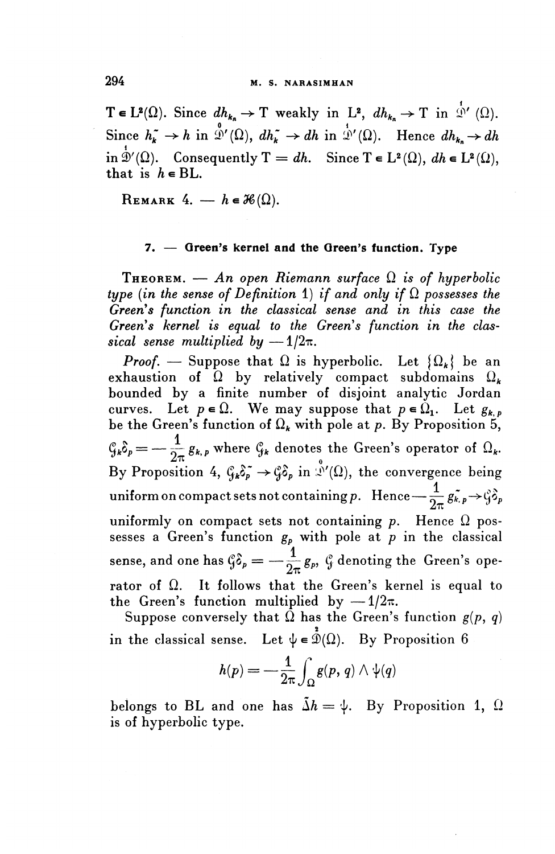294 **M. S. NARASIMHAN**<br>  $T \in L^2(\Omega)$ . Since  $dh_{k_n} \to T$  weakly in  $L^2$ ,  $dh_{k_n} \to T$  in  $\Phi'$  ( $\Omega$ ). Since  $h_k^* \to h$  in  $\stackrel{0}{\mathcal{D}}'(\Omega)$ ,  $dh_k^* \to dh$  in  $\stackrel{1}{\mathcal{D}}'(\Omega)$ . Hence  $dh_{k_n} \to dh$ in  $\overset{1}{\mathfrak{D}}'(\Omega)$ . Consequently  $\mathrm{T} = dh$ . Since  $\mathrm{T} \in \mathrm{L}^2(\Omega), dh \in \mathrm{L}^2(\Omega)$ , that is  $h \in BL$ .

REMARK 4.  $- h \in \mathcal{H}(\Omega)$ .

#### **7. — Green's kernel and the Green's function. Type**

**THEOREM.** — An open Riemann surface  $\Omega$  is of hyperbolic *type (in the sense of Definition 1) if and only if*  $\Omega$  possesses the Green's function in the classical sense and in this case the Green's kernel is equal to the Green's function in the clas*sical sense multiplied by -*  $1/2\pi$ .

*Proof.* — Suppose that  $\Omega$  is hyperbolic. Let  $\{\Omega_k\}$  be an exhaustion of  $\Omega$  by relatively compact subdomains  $\Omega_k$ bounded by a finite number of disjoint analytic Jordan curves. Let  $p \in \Omega$ . We may suppose that  $p \in \Omega_1$ . Let  $g_{k,p}$ be the Green's function of  $\Omega_k$  with pole at p. By Proposition 5,  $\mathcal{G}_k \delta_p = -\frac{1}{2\pi} g_{k,p}$  where  $\mathcal{G}_k$  denotes the Green's operator of  $\Omega_k$ . By Proposition 4,  $\zeta_k \delta_p^* \to \zeta_k \delta_p$  in  $\mathcal{N}(\Omega)$ , the convergence being  $\text{uniform on compact sets not containing } p. \;\; \text{Hence} \text{---} \frac{1}{2\pi}\,g^{\ast}_{\kappa,\,p} {\rightarrow} \c\hat{\zeta} {\delta}_p \; .$ uniformly on compact sets not containing  $p$ . Hence  $\Omega$  possesses a Green's function *gp* with pole at *p* in the classical ,<br>1 sense, and one has  $\zeta \delta_{\rho} = -\frac{1}{2\pi} g_{\rho}, \ \zeta$  denoting the Green's operator of  $\Omega$ . It follows that the Green's kernel is equal to the Green's function multiplied by  $-1/2\pi$ .

Suppose conversely that  $\overline{\Omega}$  has the Green's function  $g(p, q)$ in the classical sense. Let  $\psi \in \mathring{\mathcal{D}}(\Omega)$ . By Proposition 6

$$
h(p)=-\frac{1}{2\pi}\int_{\Omega}g(p,\,q)\wedge\psi(q)
$$

belongs to BL and one has  $\tilde{\Delta}h = \psi$ . By Proposition 1,  $\Omega$ is of hyperbolic type.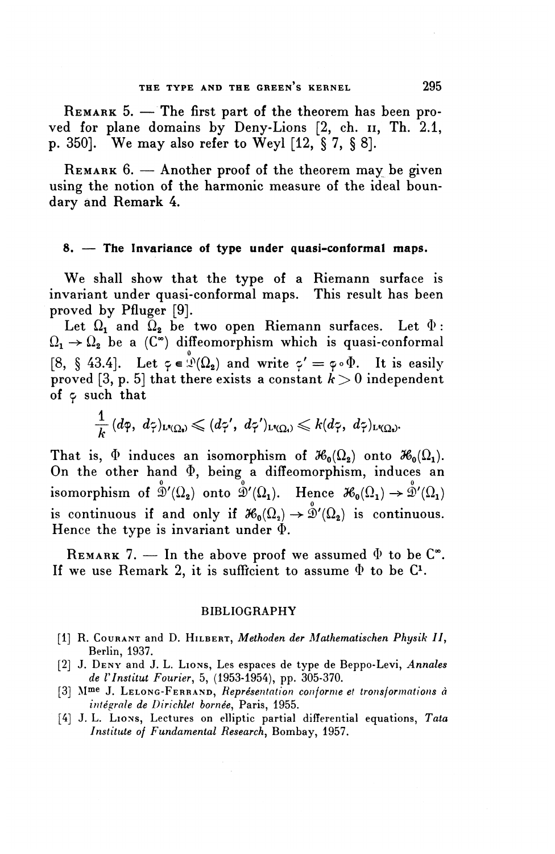REMARK 5. - The first part of the theorem has been proved for plane domains by Deny-Lions [2, ch. 11, Th. 2.1, p. 350]. We may also refer to Weyl [12, § 7, § 8].

REMARK 6. — Another proof of the theorem may be given using the notion of the harmonic measure of the ideal boundary and Remark 4.

#### **8. — The Invariance of type under quasi-conformal maps.**

We shall show that the type of a Riemann surface is invariant under quasi-conformal maps. This result has been proved by Pfluger [9].

Let  $\Omega_1$  and  $\Omega_2$  be two open Riemann surfaces. Let  $\Phi$ :  $\Omega_1 \rightarrow \Omega_2$  be a  $(C^{\infty})$  diffeomorphism which is quasi-conformal [8, § 43.4]. Let  $\varphi \in \mathcal{D}(\Omega_{2})$  and write  $\varphi' = \varphi \circ \Phi$ . It is easily proved [3, p. 5] that there exists a constant  $k > 0$  independent of  $\varphi$  such that

$$
\frac{1}{k}\,(d\varphi,\,\,d\varphi)_{\mathrm{L}^{\mathsf{s}}(\Omega_{\mathsf{s}})} \leqslant (d\varphi',\,\,d\varphi')_{\mathrm{L}^{\mathsf{s}}(\Omega_{\mathsf{s}})} \leqslant k (d\varphi,\,\,d\varphi)_{\mathrm{L}^{\mathsf{s}}(\Omega_{\mathsf{s}})}.
$$

That is,  $\Phi$  induces an isomorphism of  $\mathcal{H}_0(\Omega_2)$  onto  $\mathcal{H}_0(\Omega_1)$ . On the other hand  $\Phi$ , being a diffeomorphism, induces an isomorphism of  $\mathring{\mathcal{D}}'(\Omega_2)$  onto  $\mathring{\mathcal{D}}'(\Omega_1)$ . Hence  $\mathscr{H}_0(\Omega_1) \to \mathring{\mathcal{D}}'(\Omega_1)$ is continuous if and only if  $\mathcal{H}_0(\Omega_2) \to \mathring{\mathcal{D}}'(\Omega_2)$  is continuous. Hence the type is invariant under  $\Phi$ .

REMARK 7. — In the above proof we assumed  $\Phi$  to be  $\mathbb{C}^*$ . If we use Remark 2, it is sufficient to assume  $\Phi$  to be  $C^1$ .

#### BIBLIOGRAPHY

- [1] R. COURANT and D. HILBERT, *Methoden der Mathematischen Physik II ,* Berlin, 1937.
- [2] J. DENY and J. L. LIONS, Les espaces de type de Beppo-Levi, *Annales de rinstitut Fourier,* 5, (1953-1954), pp. 305-370.
- [3] Mme J. LELONG-FERRAND, *Représentation conforme et tronsformations à integrale de Dirichlet bornee^* Paris, 1955.
- [4] J. L. LIONS, Lectures on elliptic partial differential equations, *Tata Institute of Fundamental Research,* Bombay, 1957.